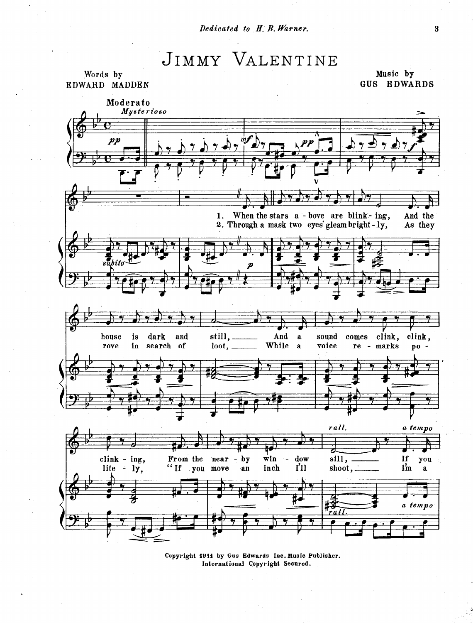## JIMMY VALENTINE

Words by

Music by GUS EDWARDS



Copyright 1911 by Gus Edwards Inc. Music Publisher. International Copyright Secured.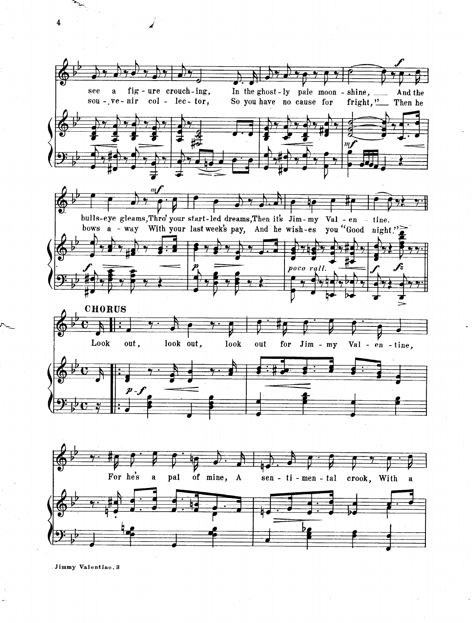see a fig-ure crouch-ing, In the ghost - ly pale moon - shine,  $\frac{1}{2}$  And the So you have no cause for fright,  $\frac{1}{2}$  Then he So you have no cause for  $sou - v =-nir$  col - lec- tor,  $\dot{m}_I$  $\dot{m}$ bulls-eye gleams, Thro' your start-led dreams, Then it's Jim- my Val - en - tine. bows a - way With your last week's pay, And he wish-es you "Good night."  $\overline{\mathcal{F}}$ 9 poco rall. **CHORUS** Look out, look out, look out for Jim - my Val - en - tine,  $p_{\scriptscriptstyle -}$  ,  $p$ For he's a pal of mine, A sen - ti - men - tal crook, With a

Jimmy Valentine. 3

 $\overline{\mathbf{4}}$